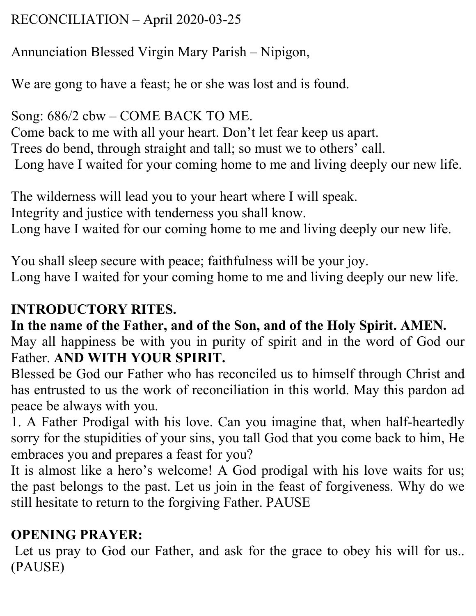## RECONCILIATION – April 2020-03-25

## Annunciation Blessed Virgin Mary Parish – Nipigon,

We are gong to have a feast; he or she was lost and is found.

Song: 686/2 cbw – COME BACK TO ME. Come back to me with all your heart. Don't let fear keep us apart. Trees do bend, through straight and tall; so must we to others' call. Long have I waited for your coming home to me and living deeply our new life.

The wilderness will lead you to your heart where I will speak. Integrity and justice with tenderness you shall know. Long have I waited for our coming home to me and living deeply our new life.

You shall sleep secure with peace; faithfulness will be your joy. Long have I waited for your coming home to me and living deeply our new life.

## **INTRODUCTORY RITES.**

**In the name of the Father, and of the Son, and of the Holy Spirit. AMEN.** May all happiness be with you in purity of spirit and in the word of God our Father. **AND WITH YOUR SPIRIT.**

Blessed be God our Father who has reconciled us to himself through Christ and has entrusted to us the work of reconciliation in this world. May this pardon ad peace be always with you.

1. A Father Prodigal with his love. Can you imagine that, when half-heartedly sorry for the stupidities of your sins, you tall God that you come back to him, He embraces you and prepares a feast for you?

It is almost like a hero's welcome! A God prodigal with his love waits for us; the past belongs to the past. Let us join in the feast of forgiveness. Why do we still hesitate to return to the forgiving Father. PAUSE

## **OPENING PRAYER:**

Let us pray to God our Father, and ask for the grace to obey his will for us.. (PAUSE)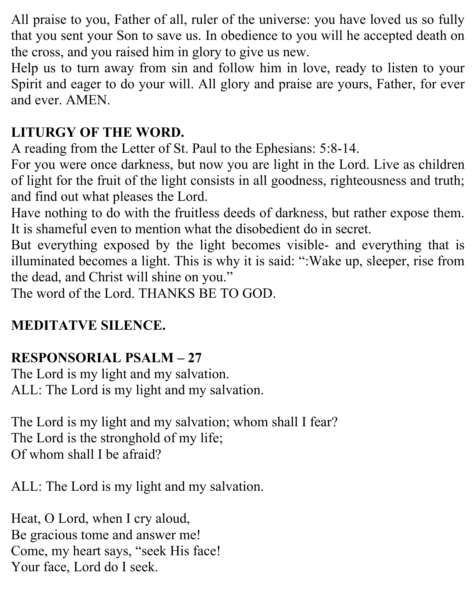All praise to you, Father of all, ruler of the universe: you have loved us so fully that you sent your Son to save us. In obedience to you will he accepted death on the cross, and you raised him in glory to give us new.

Help us to turn away from sin and follow him in love, ready to listen to your Spirit and eager to do your will. All glory and praise are yours, Father, for ever and ever. AMEN.

## **LITURGY OF THE WORD.**

A reading from the Letter of St. Paul to the Ephesians: 5:8-14.

For you were once darkness, but now you are light in the Lord. Live as children of light for the fruit of the light consists in all goodness, righteousness and truth; and find out what pleases the Lord.

Have nothing to do with the fruitless deeds of darkness, but rather expose them. It is shameful even to mention what the disobedient do in secret.

But everything exposed by the light becomes visible- and everything that is illuminated becomes a light. This is why it is said: ":Wake up, sleeper, rise from the dead, and Christ will shine on you."

The word of the Lord. THANKS BE TO GOD.

## **MEDITATVE SILENCE.**

## **RESPONSORIAL PSALM – 27**

The Lord is my light and my salvation. ALL: The Lord is my light and my salvation.

The Lord is my light and my salvation; whom shall I fear? The Lord is the stronghold of my life; Of whom shall I be afraid?

ALL: The Lord is my light and my salvation.

Heat, O Lord, when I cry aloud, Be gracious tome and answer me! Come, my heart says, "seek His face! Your face, Lord do I seek.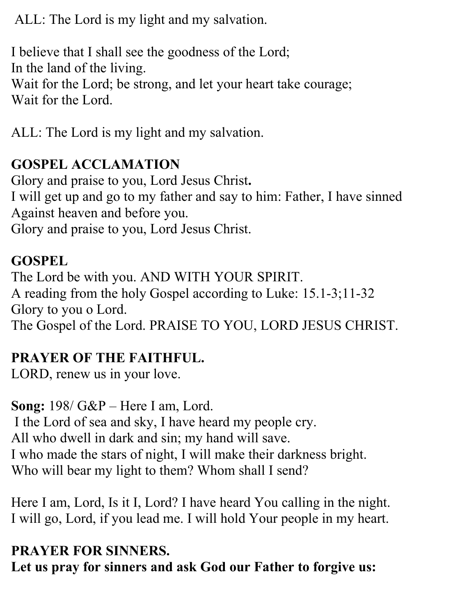ALL: The Lord is my light and my salvation.

I believe that I shall see the goodness of the Lord; In the land of the living. Wait for the Lord; be strong, and let your heart take courage; Wait for the Lord.

ALL: The Lord is my light and my salvation.

#### **GOSPEL ACCLAMATION**

Glory and praise to you, Lord Jesus Christ**.** I will get up and go to my father and say to him: Father, I have sinned Against heaven and before you. Glory and praise to you, Lord Jesus Christ.

## **GOSPEL**

The Lord be with you. AND WITH YOUR SPIRIT. A reading from the holy Gospel according to Luke: 15.1-3;11-32 Glory to you o Lord. The Gospel of the Lord. PRAISE TO YOU, LORD JESUS CHRIST.

# **PRAYER OF THE FAITHFUL.**

LORD, renew us in your love.

**Song:** 198/ G&P – Here I am, Lord. I the Lord of sea and sky, I have heard my people cry. All who dwell in dark and sin; my hand will save. I who made the stars of night, I will make their darkness bright. Who will bear my light to them? Whom shall I send?

Here I am, Lord, Is it I, Lord? I have heard You calling in the night. I will go, Lord, if you lead me. I will hold Your people in my heart.

## **PRAYER FOR SINNERS.**

**Let us pray for sinners and ask God our Father to forgive us:**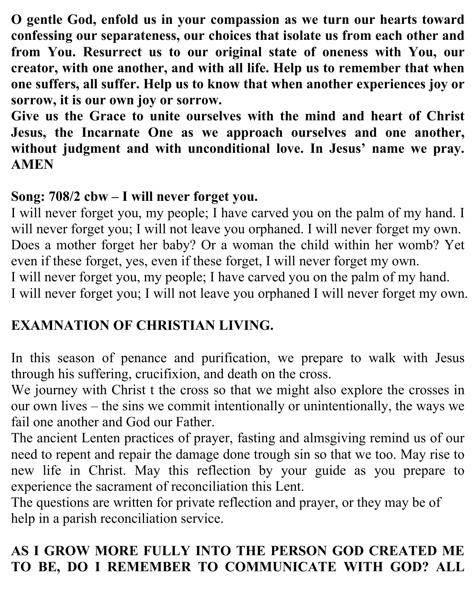**O gentle God, enfold us in your compassion as we turn our hearts toward confessing our separateness, our choices that isolate us from each other and from You. Resurrect us to our original state of oneness with You, our creator, with one another, and with all life. Help us to remember that when one suffers, all suffer. Help us to know that when another experiences joy or sorrow, it is our own joy or sorrow.**

**Give us the Grace to unite ourselves with the mind and heart of Christ Jesus, the Incarnate One as we approach ourselves and one another, without judgment and with unconditional love. In Jesus' name we pray. AMEN**

## **Song: 708/2 cbw – I will never forget you.**

I will never forget you, my people; I have carved you on the palm of my hand. I will never forget you; I will not leave you orphaned. I will never forget my own. Does a mother forget her baby? Or a woman the child within her womb? Yet even if these forget, yes, even if these forget, I will never forget my own. I will never forget you, my people; I have carved you on the palm of my hand.

I will never forget you; I will not leave you orphaned I will never forget my own.

# **EXAMNATION OF CHRISTIAN LIVING.**

In this season of penance and purification, we prepare to walk with Jesus through his suffering, crucifixion, and death on the cross.

We journey with Christ t the cross so that we might also explore the crosses in our own lives – the sins we commit intentionally or unintentionally, the ways we fail one another and God our Father.

The ancient Lenten practices of prayer, fasting and almsgiving remind us of our need to repent and repair the damage done trough sin so that we too. May rise to new life in Christ. May this reflection by your guide as you prepare to experience the sacrament of reconciliation this Lent.

The questions are written for private reflection and prayer, or they may be of help in a parish reconciliation service.

## **AS I GROW MORE FULLY INTO THE PERSON GOD CREATED ME TO BE, DO I REMEMBER TO COMMUNICATE WITH GOD? ALL**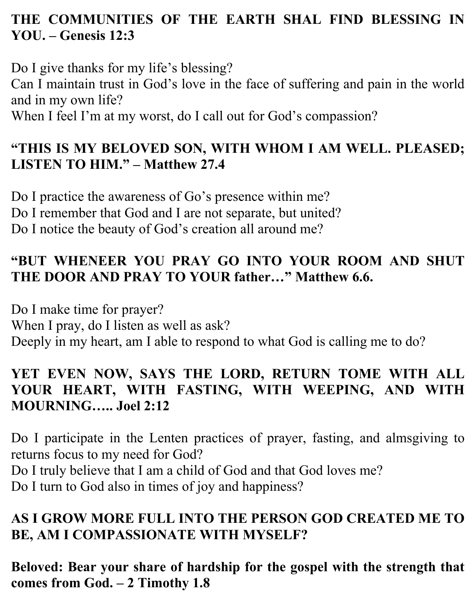## **THE COMMUNITIES OF THE EARTH SHAL FIND BLESSING IN YOU. – Genesis 12:3**

Do I give thanks for my life's blessing? Can I maintain trust in God's love in the face of suffering and pain in the world and in my own life?

When I feel I'm at my worst, do I call out for God's compassion?

#### **"THIS IS MY BELOVED SON, WITH WHOM I AM WELL. PLEASED; LISTEN TO HIM." – Matthew 27.4**

Do I practice the awareness of Go's presence within me? Do I remember that God and I are not separate, but united? Do I notice the beauty of God's creation all around me?

#### **"BUT WHENEER YOU PRAY GO INTO YOUR ROOM AND SHUT THE DOOR AND PRAY TO YOUR father…" Matthew 6.6.**

Do I make time for prayer? When I pray, do I listen as well as ask? Deeply in my heart, am I able to respond to what God is calling me to do?

#### **YET EVEN NOW, SAYS THE LORD, RETURN TOME WITH ALL YOUR HEART, WITH FASTING, WITH WEEPING, AND WITH MOURNING….. Joel 2:12**

Do I participate in the Lenten practices of prayer, fasting, and almsgiving to returns focus to my need for God? Do I truly believe that I am a child of God and that God loves me? Do I turn to God also in times of joy and happiness?

## **AS I GROW MORE FULL INTO THE PERSON GOD CREATED ME TO BE, AM I COMPASSIONATE WITH MYSELF?**

**Beloved: Bear your share of hardship for the gospel with the strength that comes from God. – 2 Timothy 1.8**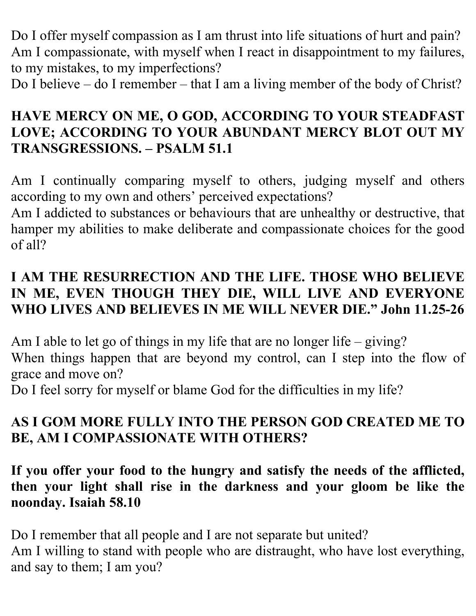Do I offer myself compassion as I am thrust into life situations of hurt and pain? Am I compassionate, with myself when I react in disappointment to my failures, to my mistakes, to my imperfections?

Do I believe – do I remember – that I am a living member of the body of Christ?

#### **HAVE MERCY ON ME, O GOD, ACCORDING TO YOUR STEADFAST LOVE; ACCORDING TO YOUR ABUNDANT MERCY BLOT OUT MY TRANSGRESSIONS. – PSALM 51.1**

Am I continually comparing myself to others, judging myself and others according to my own and others' perceived expectations?

Am I addicted to substances or behaviours that are unhealthy or destructive, that hamper my abilities to make deliberate and compassionate choices for the good of all?

#### **I AM THE RESURRECTION AND THE LIFE. THOSE WHO BELIEVE IN ME, EVEN THOUGH THEY DIE, WILL LIVE AND EVERYONE WHO LIVES AND BELIEVES IN ME WILL NEVER DIE." John 11.25-26**

Am I able to let go of things in my life that are no longer life – giving? When things happen that are beyond my control, can I step into the flow of grace and move on?

Do I feel sorry for myself or blame God for the difficulties in my life?

## **AS I GOM MORE FULLY INTO THE PERSON GOD CREATED ME TO BE, AM I COMPASSIONATE WITH OTHERS?**

**If you offer your food to the hungry and satisfy the needs of the afflicted, then your light shall rise in the darkness and your gloom be like the noonday. Isaiah 58.10**

Do I remember that all people and I are not separate but united? Am I willing to stand with people who are distraught, who have lost everything, and say to them; I am you?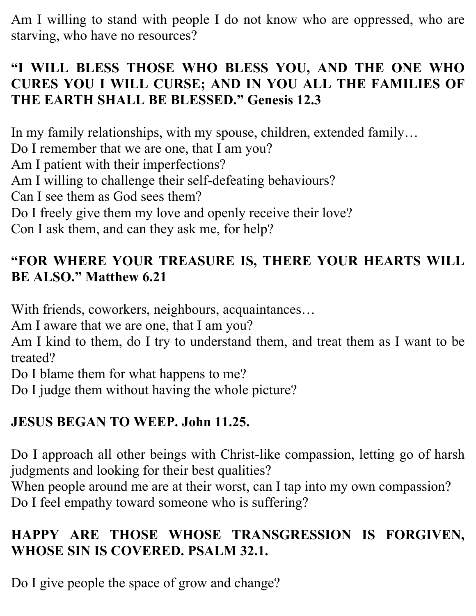Am I willing to stand with people I do not know who are oppressed, who are starving, who have no resources?

#### **"I WILL BLESS THOSE WHO BLESS YOU, AND THE ONE WHO CURES YOU I WILL CURSE; AND IN YOU ALL THE FAMILIES OF THE EARTH SHALL BE BLESSED." Genesis 12.3**

In my family relationships, with my spouse, children, extended family… Do I remember that we are one, that I am you?

Am I patient with their imperfections?

Am I willing to challenge their self-defeating behaviours?

Can I see them as God sees them?

Do I freely give them my love and openly receive their love?

Con I ask them, and can they ask me, for help?

#### **"FOR WHERE YOUR TREASURE IS, THERE YOUR HEARTS WILL BE ALSO." Matthew 6.21**

With friends, coworkers, neighbours, acquaintances…

Am I aware that we are one, that I am you?

Am I kind to them, do I try to understand them, and treat them as I want to be treated?

Do I blame them for what happens to me?

Do I judge them without having the whole picture?

## **JESUS BEGAN TO WEEP. John 11.25.**

Do I approach all other beings with Christ-like compassion, letting go of harsh judgments and looking for their best qualities?

When people around me are at their worst, can I tap into my own compassion? Do I feel empathy toward someone who is suffering?

## **HAPPY ARE THOSE WHOSE TRANSGRESSION IS FORGIVEN, WHOSE SIN IS COVERED. PSALM 32.1.**

Do I give people the space of grow and change?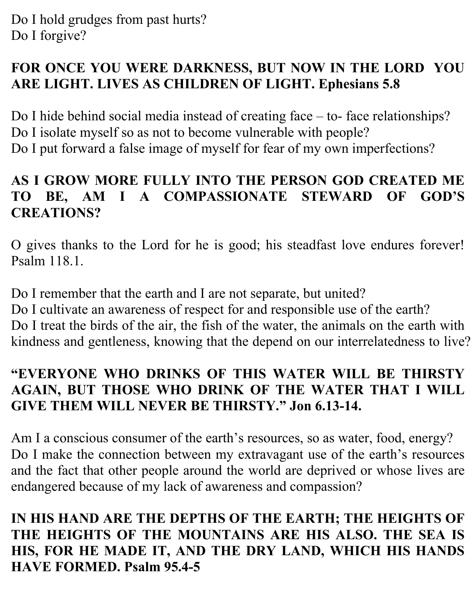#### **FOR ONCE YOU WERE DARKNESS, BUT NOW IN THE LORD YOU ARE LIGHT. LIVES AS CHILDREN OF LIGHT. Ephesians 5.8**

Do I hide behind social media instead of creating face – to- face relationships? Do I isolate myself so as not to become vulnerable with people? Do I put forward a false image of myself for fear of my own imperfections?

#### **AS I GROW MORE FULLY INTO THE PERSON GOD CREATED ME TO BE, AM I A COMPASSIONATE STEWARD OF GOD'S CREATIONS?**

O gives thanks to the Lord for he is good; his steadfast love endures forever! Psalm 118.1.

Do I remember that the earth and I are not separate, but united? Do I cultivate an awareness of respect for and responsible use of the earth? Do I treat the birds of the air, the fish of the water, the animals on the earth with kindness and gentleness, knowing that the depend on our interrelatedness to live?

## **"EVERYONE WHO DRINKS OF THIS WATER WILL BE THIRSTY AGAIN, BUT THOSE WHO DRINK OF THE WATER THAT I WILL GIVE THEM WILL NEVER BE THIRSTY." Jon 6.13-14.**

Am I a conscious consumer of the earth's resources, so as water, food, energy? Do I make the connection between my extravagant use of the earth's resources and the fact that other people around the world are deprived or whose lives are endangered because of my lack of awareness and compassion?

**IN HIS HAND ARE THE DEPTHS OF THE EARTH; THE HEIGHTS OF THE HEIGHTS OF THE MOUNTAINS ARE HIS ALSO. THE SEA IS HIS, FOR HE MADE IT, AND THE DRY LAND, WHICH HIS HANDS HAVE FORMED. Psalm 95.4-5**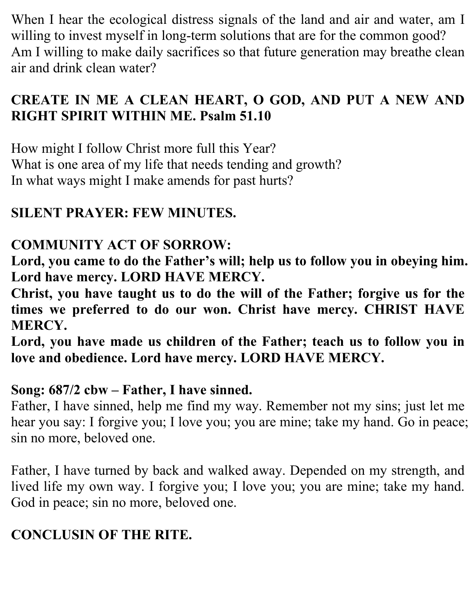When I hear the ecological distress signals of the land and air and water, am I willing to invest myself in long-term solutions that are for the common good? Am I willing to make daily sacrifices so that future generation may breathe clean air and drink clean water?

## **CREATE IN ME A CLEAN HEART, O GOD, AND PUT A NEW AND RIGHT SPIRIT WITHIN ME. Psalm 51.10**

How might I follow Christ more full this Year? What is one area of my life that needs tending and growth? In what ways might I make amends for past hurts?

## **SILENT PRAYER: FEW MINUTES.**

#### **COMMUNITY ACT OF SORROW:**

**Lord, you came to do the Father's will; help us to follow you in obeying him. Lord have mercy. LORD HAVE MERCY.**

**Christ, you have taught us to do the will of the Father; forgive us for the times we preferred to do our won. Christ have mercy. CHRIST HAVE MERCY.**

**Lord, you have made us children of the Father; teach us to follow you in love and obedience. Lord have mercy. LORD HAVE MERCY.**

#### **Song: 687/2 cbw – Father, I have sinned.**

Father, I have sinned, help me find my way. Remember not my sins; just let me hear you say: I forgive you; I love you; you are mine; take my hand. Go in peace; sin no more, beloved one.

Father, I have turned by back and walked away. Depended on my strength, and lived life my own way. I forgive you; I love you; you are mine; take my hand. God in peace; sin no more, beloved one.

## **CONCLUSIN OF THE RITE.**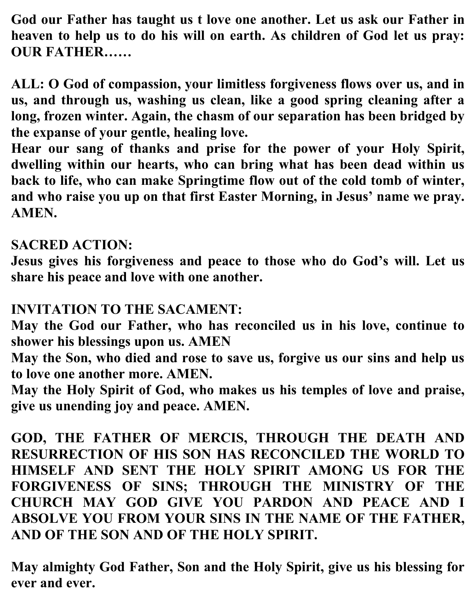**God our Father has taught us t love one another. Let us ask our Father in heaven to help us to do his will on earth. As children of God let us pray: OUR FATHER……**

**ALL: O God of compassion, your limitless forgiveness flows over us, and in us, and through us, washing us clean, like a good spring cleaning after a long, frozen winter. Again, the chasm of our separation has been bridged by the expanse of your gentle, healing love.**

**Hear our sang of thanks and prise for the power of your Holy Spirit, dwelling within our hearts, who can bring what has been dead within us back to life, who can make Springtime flow out of the cold tomb of winter, and who raise you up on that first Easter Morning, in Jesus' name we pray. AMEN.**

#### **SACRED ACTION:**

**Jesus gives his forgiveness and peace to those who do God's will. Let us share his peace and love with one another.**

#### **INVITATION TO THE SACAMENT:**

**May the God our Father, who has reconciled us in his love, continue to shower his blessings upon us. AMEN**

**May the Son, who died and rose to save us, forgive us our sins and help us to love one another more. AMEN.**

**May the Holy Spirit of God, who makes us his temples of love and praise, give us unending joy and peace. AMEN.**

**GOD, THE FATHER OF MERCIS, THROUGH THE DEATH AND RESURRECTION OF HIS SON HAS RECONCILED THE WORLD TO HIMSELF AND SENT THE HOLY SPIRIT AMONG US FOR THE FORGIVENESS OF SINS; THROUGH THE MINISTRY OF THE CHURCH MAY GOD GIVE YOU PARDON AND PEACE AND I ABSOLVE YOU FROM YOUR SINS IN THE NAME OF THE FATHER, AND OF THE SON AND OF THE HOLY SPIRIT.**

**May almighty God Father, Son and the Holy Spirit, give us his blessing for ever and ever.**